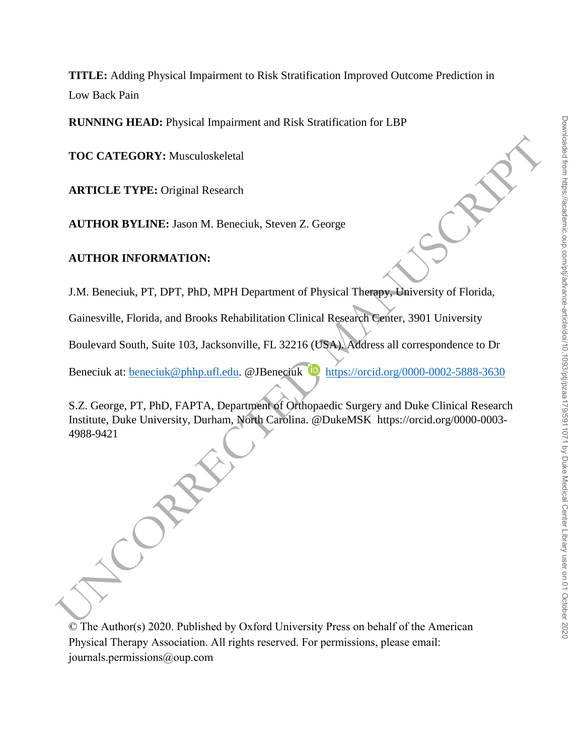**TITLE:** Adding Physical Impairment to Risk Stratification Improved Outcome Prediction in Low Back Pain

**RUNNING HEAD:** Physical Impairment and Risk Stratification for LBP

**TOC CATEGORY:** Musculoskeletal

**ARTICLE TYPE:** Original Research

**AUTHOR BYLINE:** Jason M. Beneciuk, Steven Z. George

## **AUTHOR INFORMATION:**

J.M. Beneciuk, PT, DPT, PhD, MPH Department of Physical Therapy, University of Florida,

Gainesville, Florida, and Brooks Rehabilitation Clinical Research Center, 3901 University

Boulevard South, Suite 103, Jacksonville, FL 32216 (USA). Address all correspondence to Dr

Beneciuk at: beneciuk@phhp.ufl.edu. @JBeneciuk bttps://orcid.org/0000-0002-5888-3630

S.Z. George, PT, PhD, FAPTA, Department of Orthopaedic Surgery and Duke Clinical Research Institute, Duke University, Durham, North Carolina. @DukeMSK https://orcid.org/0000-0003- 4988-9421

TOC CATEGORY: Musculoskeletal<br>
ARTICLE TYPE: Original Research<br>
AUTHOR BYLINE: Jason M. Beneciuk, Steven Z. George<br>
AUTHOR INFORMATION:<br>
J.M. Beneciuk, PT, DPT, PhD, MPH Department of Physical Therapys-University of Florid

© The Author(s) 2020. Published by Oxford University Press on behalf of the American Physical Therapy Association. All rights reserved. For permissions, please email: journals.permissions@oup.com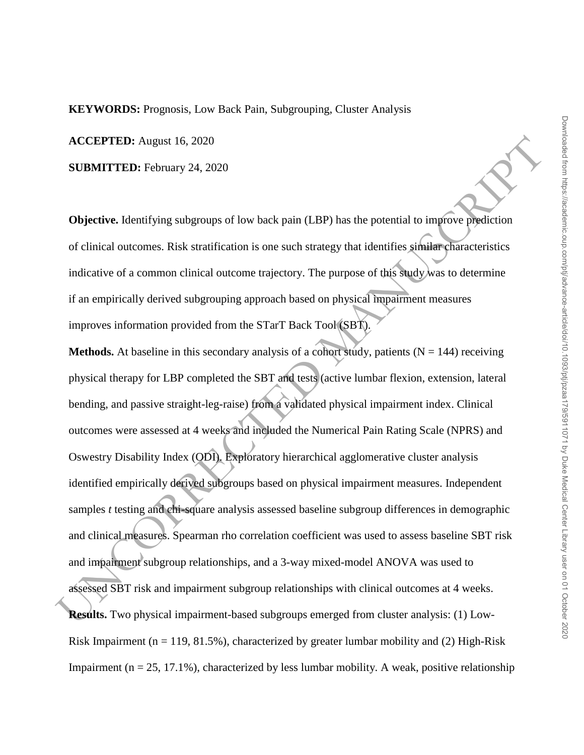**KEYWORDS:** Prognosis, Low Back Pain, Subgrouping, Cluster Analysis

**ACCEPTED:** August 16, 2020

**SUBMITTED:** February 24, 2020

**Objective.** Identifying subgroups of low back pain (LBP) has the potential to improve prediction of clinical outcomes. Risk stratification is one such strategy that identifies similar characteristics indicative of a common clinical outcome trajectory. The purpose of this study was to determine if an empirically derived subgrouping approach based on physical impairment measures improves information provided from the STarT Back Tool (SBT).

**ACCEPTED:** August 16, 2020<br>
SUBMITTED: February 24, 2020<br>
Objective. Identifying subgroups of low back pain (LBP) has the potential to improve prediction<br>
of elivical outcomes. Risk stratification is one such strategy th **Methods.** At baseline in this secondary analysis of a cohort study, patients  $(N = 144)$  receiving physical therapy for LBP completed the SBT and tests (active lumbar flexion, extension, lateral bending, and passive straight-leg-raise) from a validated physical impairment index. Clinical outcomes were assessed at 4 weeks and included the Numerical Pain Rating Scale (NPRS) and Oswestry Disability Index (ODI). Exploratory hierarchical agglomerative cluster analysis identified empirically derived subgroups based on physical impairment measures. Independent samples *t* testing and chi-square analysis assessed baseline subgroup differences in demographic and clinical measures. Spearman rho correlation coefficient was used to assess baseline SBT risk and impairment subgroup relationships, and a 3-way mixed-model ANOVA was used to assessed SBT risk and impairment subgroup relationships with clinical outcomes at 4 weeks. **Results.** Two physical impairment-based subgroups emerged from cluster analysis: (1) Low-Risk Impairment ( $n = 119, 81.5\%$ ), characterized by greater lumbar mobility and (2) High-Risk Impairment ( $n = 25, 17.1\%$ ), characterized by less lumbar mobility. A weak, positive relationship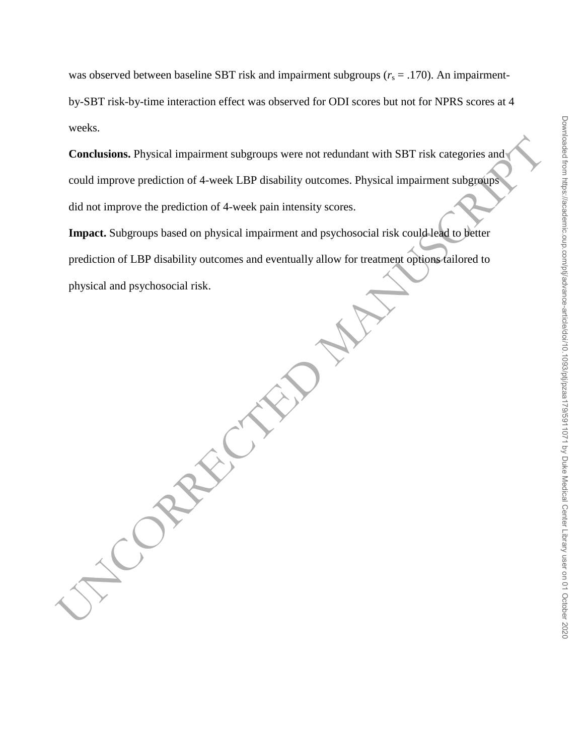# was observed between baseline SBT risk and impairment subgroups  $(r_s = .170)$ . An impairment-

by-SBT risk-by-time interaction effect was observed for ODI scores but not for NPRS scores at 4 weeks.

Conclusions. Physical impairment subgroups were not redundant with SBT risk categories and could improve prediction of 4-week I.BP disability outcomes. Physical impairment subgroups did not improve the prediction of 4-week **Conclusions.** Physical impairment subgroups were not redundant with SBT risk categories and could improve prediction of 4-week LBP disability outcomes. Physical impairment subgroups did not improve the prediction of 4-week pain intensity scores.

**Impact.** Subgroups based on physical impairment and psychosocial risk could lead to better prediction of LBP disability outcomes and eventually allow for treatment options tailored to physical and psychosocial risk.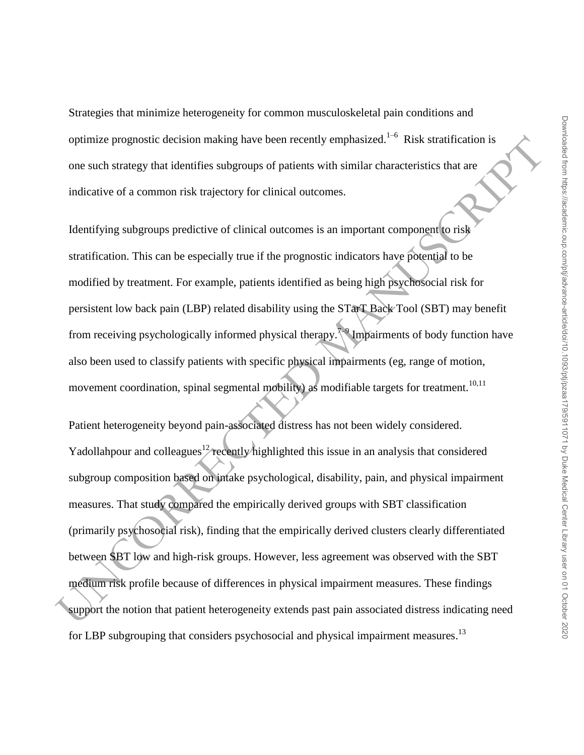Strategies that minimize heterogeneity for common musculoskeletal pain conditions and optimize prognostic decision making have been recently emphasized.<sup>1-6</sup> Risk stratification is one such strategy that identifies subgroups of patients with similar characteristics that are indicative of a common risk trajectory for clinical outcomes.

Identifying subgroups predictive of clinical outcomes is an important component to risk stratification. This can be especially true if the prognostic indicators have potential to be modified by treatment. For example, patients identified as being high psychosocial risk for persistent low back pain (LBP) related disability using the STarT Back Tool (SBT) may benefit from receiving psychologically informed physical therapy.<sup>7</sup> Impairments of body function have also been used to classify patients with specific physical impairments (eg, range of motion, movement coordination, spinal segmental mobility) as modifiable targets for treatment.<sup>10,11</sup>

optimize prognostic decision making have been recently emphasized.<sup>153</sup> Risk stratification is<br>one such strategy that identifies subgroups of patients with similar characteristics that are<br>indicative of a common risk traje Patient heterogeneity beyond pain-associated distress has not been widely considered. Yadollahpour and colleagues<sup>12</sup> recently highlighted this issue in an analysis that considered subgroup composition based on intake psychological, disability, pain, and physical impairment measures. That study compared the empirically derived groups with SBT classification (primarily psychosocial risk), finding that the empirically derived clusters clearly differentiated between SBT low and high-risk groups. However, less agreement was observed with the SBT medium risk profile because of differences in physical impairment measures. These findings support the notion that patient heterogeneity extends past pain associated distress indicating need for LBP subgrouping that considers psychosocial and physical impairment measures.<sup>13</sup>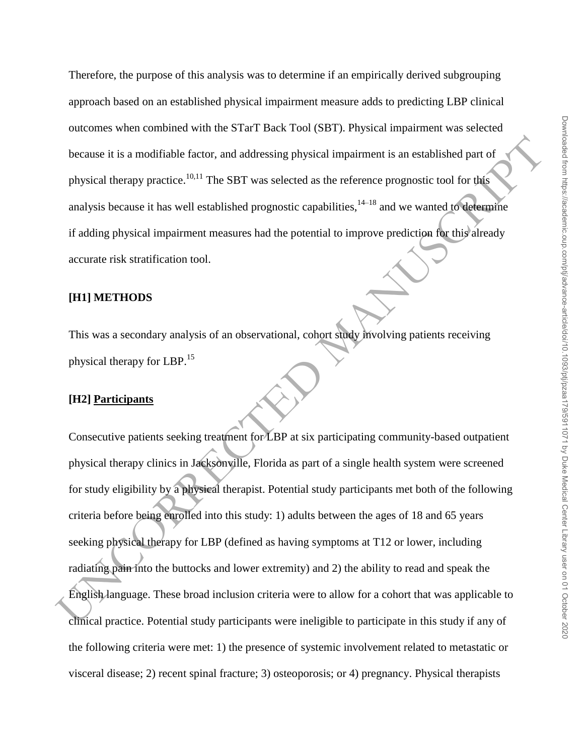Therefore, the purpose of this analysis was to determine if an empirically derived subgrouping approach based on an established physical impairment measure adds to predicting LBP clinical outcomes when combined with the STarT Back Tool (SBT). Physical impairment was selected because it is a modifiable factor, and addressing physical impairment is an established part of physical therapy practice.<sup>10,11</sup> The SBT was selected as the reference prognostic tool for this analysis because it has well established prognostic capabilities,  $14-18$  and we wanted to determine if adding physical impairment measures had the potential to improve prediction for this already accurate risk stratification tool.

## **[H1] METHODS**

This was a secondary analysis of an observational, cohort study involving patients receiving physical therapy for LBP.<sup>15</sup>

## **[H2] Participants**

because it is a modifiable factor, and addressing physical impairment is an established part of<br>physical therapy practice.<sup>18,11</sup> The SBT was selected as the reference prognosic tool for this<br>analysis because it has well e Consecutive patients seeking treatment for LBP at six participating community-based outpatient physical therapy clinics in Jacksonville, Florida as part of a single health system were screened for study eligibility by a physical therapist. Potential study participants met both of the following criteria before being enrolled into this study: 1) adults between the ages of 18 and 65 years seeking physical therapy for LBP (defined as having symptoms at T12 or lower, including radiating pain into the buttocks and lower extremity) and 2) the ability to read and speak the English language. These broad inclusion criteria were to allow for a cohort that was applicable to clinical practice. Potential study participants were ineligible to participate in this study if any of the following criteria were met: 1) the presence of systemic involvement related to metastatic or visceral disease; 2) recent spinal fracture; 3) osteoporosis; or 4) pregnancy. Physical therapists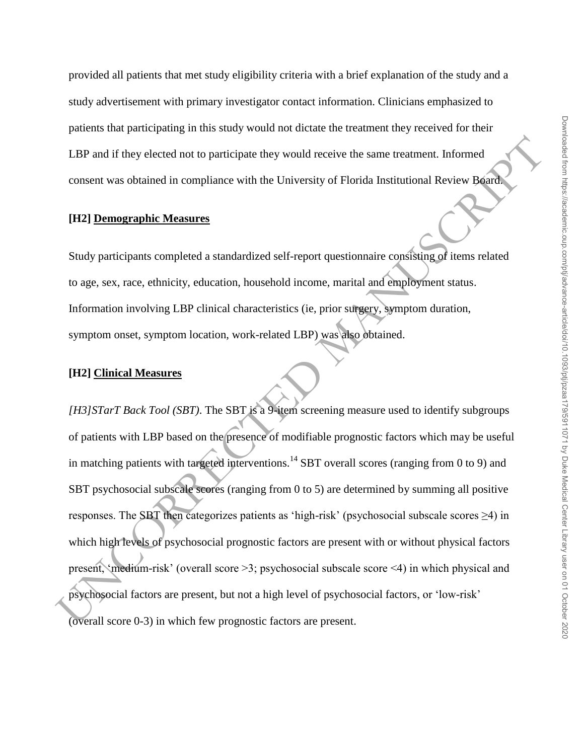provided all patients that met study eligibility criteria with a brief explanation of the study and a study advertisement with primary investigator contact information. Clinicians emphasized to patients that participating in this study would not dictate the treatment they received for their LBP and if they elected not to participate they would receive the same treatment. Informed consent was obtained in compliance with the University of Florida Institutional Review Board.

### **[H2] Demographic Measures**

Study participants completed a standardized self-report questionnaire consisting of items related to age, sex, race, ethnicity, education, household income, marital and employment status. Information involving LBP clinical characteristics (ie, prior surgery, symptom duration, symptom onset, symptom location, work-related LBP) was also obtained.

#### **[H2] Clinical Measures**

LAP and if they elected not to participate they would receive the same treatment. Informed<br>
consent was obtained in compliance with the University of Florida Institutional Review Board<br>
(IT2) Demographic Measures<br>
Study p *[H3]STarT Back Tool (SBT)*. The SBT is a 9-item screening measure used to identify subgroups of patients with LBP based on the presence of modifiable prognostic factors which may be useful in matching patients with targeted interventions.<sup>14</sup> SBT overall scores (ranging from 0 to 9) and SBT psychosocial subscale scores (ranging from 0 to 5) are determined by summing all positive responses. The SBT then categorizes patients as 'high-risk' (psychosocial subscale scores ≥4) in which high levels of psychosocial prognostic factors are present with or without physical factors present, 'medium-risk' (overall score >3; psychosocial subscale score <4) in which physical and psychosocial factors are present, but not a high level of psychosocial factors, or 'low-risk' (overall score 0-3) in which few prognostic factors are present.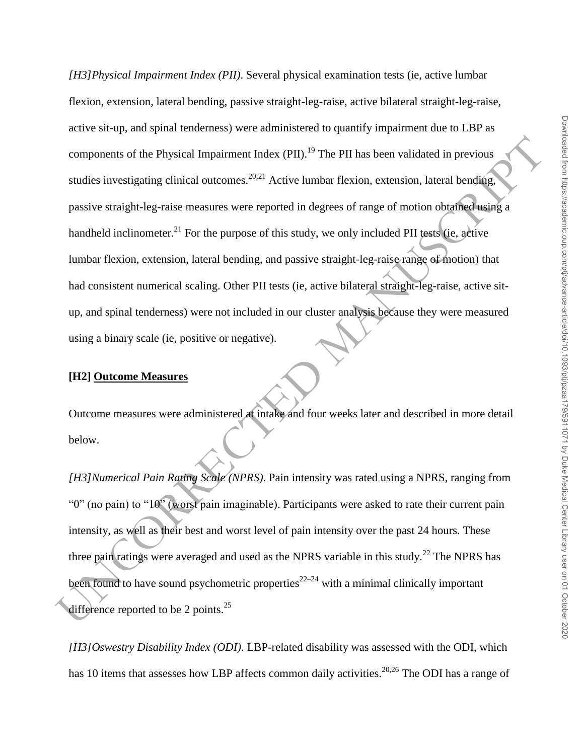components of the Physical Impairment Index (PII).<sup>19</sup> The PII has been validated in previous<br>studies investigating clinical outcomes,<sup>2021</sup> Active lumbar flexion, extension, lateral bending,<br>passive straight-leg-raise me *[H3]Physical Impairment Index (PII)*. Several physical examination tests (ie, active lumbar flexion, extension, lateral bending, passive straight-leg-raise, active bilateral straight-leg-raise, active sit-up, and spinal tenderness) were administered to quantify impairment due to LBP as components of the Physical Impairment Index  $(PII)$ .<sup>19</sup> The PII has been validated in previous studies investigating clinical outcomes.<sup>20,21</sup> Active lumbar flexion, extension, lateral bending, passive straight-leg-raise measures were reported in degrees of range of motion obtained using a handheld inclinometer.<sup>21</sup> For the purpose of this study, we only included PII tests (ie, active lumbar flexion, extension, lateral bending, and passive straight-leg-raise range of motion) that had consistent numerical scaling. Other PII tests (ie, active bilateral straight-leg-raise, active situp, and spinal tenderness) were not included in our cluster analysis because they were measured using a binary scale (ie, positive or negative).

# **[H2] Outcome Measures**

Outcome measures were administered at intake and four weeks later and described in more detail below.

*[H3]Numerical Pain Rating Scale (NPRS)*. Pain intensity was rated using a NPRS, ranging from "0" (no pain) to "10" (worst pain imaginable). Participants were asked to rate their current pain intensity, as well as their best and worst level of pain intensity over the past 24 hours. These three pain ratings were averaged and used as the NPRS variable in this study.<sup>22</sup> The NPRS has been found to have sound psychometric properties<sup>22–24</sup> with a minimal clinically important difference reported to be 2 points. $^{25}$ 

*[H3]Oswestry Disability Index (ODI)*. LBP-related disability was assessed with the ODI, which has 10 items that assesses how LBP affects common daily activities.<sup>20,26</sup> The ODI has a range of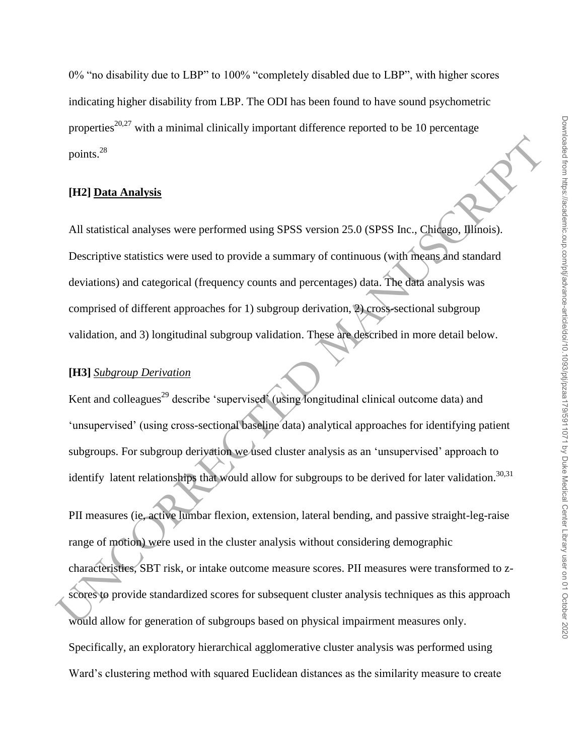0% "no disability due to LBP" to 100% "completely disabled due to LBP", with higher scores indicating higher disability from LBP. The ODI has been found to have sound psychometric properties<sup>20,27</sup> with a minimal clinically important difference reported to be 10 percentage points.<sup>28</sup>

## **[H2] Data Analysis**

All statistical analyses were performed using SPSS version 25.0 (SPSS Inc., Chicago, Illinois). Descriptive statistics were used to provide a summary of continuous (with means and standard deviations) and categorical (frequency counts and percentages) data. The data analysis was comprised of different approaches for 1) subgroup derivation, 2) cross-sectional subgroup validation, and 3) longitudinal subgroup validation. These are described in more detail below.

## **[H3]** *Subgroup Derivation*

Kent and colleagues<sup>29</sup> describe 'supervised' (using longitudinal clinical outcome data) and 'unsupervised' (using cross-sectional baseline data) analytical approaches for identifying patient subgroups. For subgroup derivation we used cluster analysis as an 'unsupervised' approach to identify latent relationships that would allow for subgroups to be derived for later validation.<sup>30,31</sup>

points.<sup>31</sup><br>
(H2) <u>Data Analysis</u><br>
All statistical analyses were performed using SPSS version 25.0 (SPSS Inc.. Chicago. Jlinois).<br>
Descriptive statistics were used to provide a summary of continuous (with means and standa PII measures (ie, active lumbar flexion, extension, lateral bending, and passive straight-leg-raise range of motion) were used in the cluster analysis without considering demographic characteristics, SBT risk, or intake outcome measure scores. PII measures were transformed to zscores to provide standardized scores for subsequent cluster analysis techniques as this approach would allow for generation of subgroups based on physical impairment measures only. Specifically, an exploratory hierarchical agglomerative cluster analysis was performed using Ward's clustering method with squared Euclidean distances as the similarity measure to create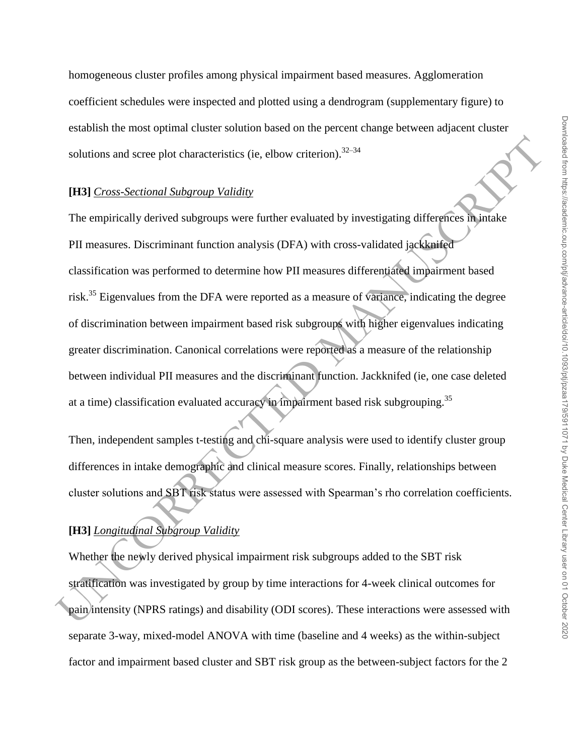homogeneous cluster profiles among physical impairment based measures. Agglomeration coefficient schedules were inspected and plotted using a dendrogram (supplementary figure) to establish the most optimal cluster solution based on the percent change between adjacent cluster solutions and scree plot characteristics (ie, elbow criterion).  $32-34$ 

#### **[H3]** *Cross-Sectional Subgroup Validity*

solutions and scree plot characteristics (ie, elbow criterion).<sup>22-24</sup><br>
1H31 Cross-Sectional Subgroup Validity<br>
The empirically derived subgroups were further evaluated by investigating differences in intake<br>
PII measures The empirically derived subgroups were further evaluated by investigating differences in intake PII measures. Discriminant function analysis (DFA) with cross-validated jackknifed classification was performed to determine how PII measures differentiated impairment based risk.<sup>35</sup> Eigenvalues from the DFA were reported as a measure of variance, indicating the degree of discrimination between impairment based risk subgroups with higher eigenvalues indicating greater discrimination. Canonical correlations were reported as a measure of the relationship between individual PII measures and the discriminant function. Jackknifed (ie, one case deleted at a time) classification evaluated accuracy in impairment based risk subgrouping.<sup>35</sup>

Then, independent samples t-testing and chi-square analysis were used to identify cluster group differences in intake demographic and clinical measure scores. Finally, relationships between cluster solutions and SBT risk status were assessed with Spearman's rho correlation coefficients.

# **[H3]** *Longitudinal Subgroup Validity*

Whether the newly derived physical impairment risk subgroups added to the SBT risk stratification was investigated by group by time interactions for 4-week clinical outcomes for pain intensity (NPRS ratings) and disability (ODI scores). These interactions were assessed with separate 3-way, mixed-model ANOVA with time (baseline and 4 weeks) as the within-subject factor and impairment based cluster and SBT risk group as the between-subject factors for the 2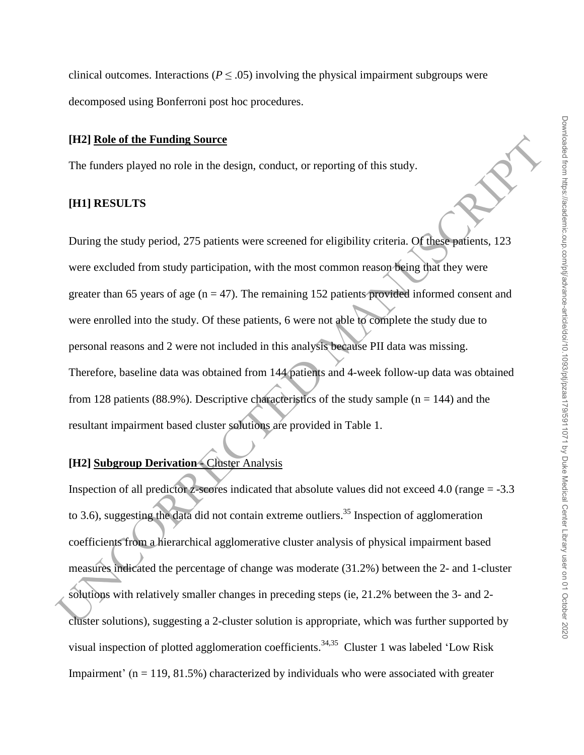clinical outcomes. Interactions ( $P < .05$ ) involving the physical impairment subgroups were decomposed using Bonferroni post hoc procedures.

### **[H2] Role of the Funding Source**

The funders played no role in the design, conduct, or reporting of this study.

## **[H1] RESULTS**

(T12) **Enle of the Funding Source**<br>The funders played no role in the design, conduct, or reporting of this study.<br>
THIJ RESULTIS<br>
During the study period, 275 patients were screened for eligibility criteria. Of these pati During the study period, 275 patients were screened for eligibility criteria. Of these patients, 123 were excluded from study participation, with the most common reason being that they were greater than 65 years of age  $(n = 47)$ . The remaining 152 patients provided informed consent and were enrolled into the study. Of these patients, 6 were not able to complete the study due to personal reasons and 2 were not included in this analysis because PII data was missing. Therefore, baseline data was obtained from 144 patients and 4-week follow-up data was obtained from 128 patients (88.9%). Descriptive characteristics of the study sample ( $n = 144$ ) and the resultant impairment based cluster solutions are provided in Table 1.

# **[H2] Subgroup Derivation** - Cluster Analysis

Inspection of all predictor z-scores indicated that absolute values did not exceed 4.0 (range = -3.3 to 3.6), suggesting the data did not contain extreme outliers.<sup>35</sup> Inspection of agglomeration coefficients from a hierarchical agglomerative cluster analysis of physical impairment based measures indicated the percentage of change was moderate (31.2%) between the 2- and 1-cluster solutions with relatively smaller changes in preceding steps (ie, 21.2% between the 3- and 2 cluster solutions), suggesting a 2-cluster solution is appropriate, which was further supported by visual inspection of plotted agglomeration coefficients.<sup>34,35</sup> Cluster 1 was labeled 'Low Risk Impairment' ( $n = 119, 81.5\%$ ) characterized by individuals who were associated with greater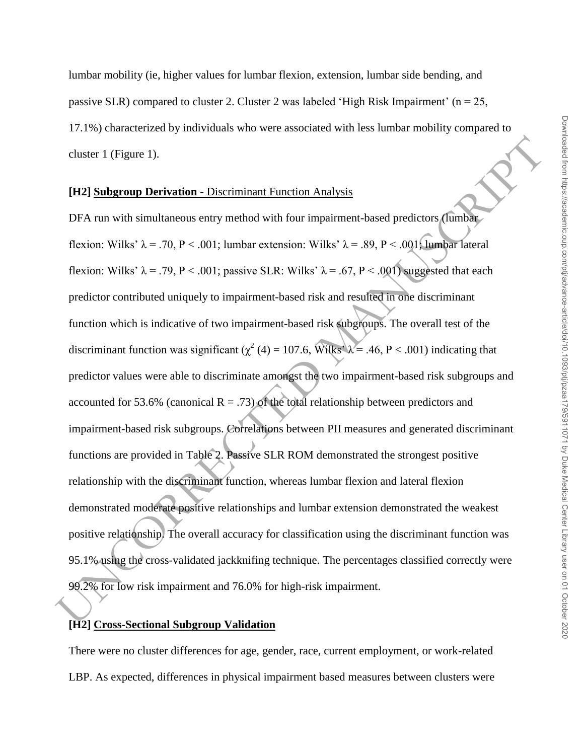lumbar mobility (ie, higher values for lumbar flexion, extension, lumbar side bending, and passive SLR) compared to cluster 2. Cluster 2 was labeled 'High Risk Impairment' ( $n = 25$ , 17.1%) characterized by individuals who were associated with less lumbar mobility compared to cluster 1 (Figure 1).

#### **[H2] Subgroup Derivation** - Discriminant Function Analysis

cluster 1 (Figure 1).<br> **(H2) Subgroup Derivation** - Discriminant Function Analysis<br>
DFA run with simultaneous entry method with four impairment-based predictors, (tumbar<br>
flexion: Wilks'  $\lambda = .70$ ,  $P < .001$ ; lumbar extensi DFA run with simultaneous entry method with four impairment-based predictors (lumbar flexion: Wilks'  $\lambda = .70$ , P < .001; lumbar extension: Wilks'  $\lambda = .89$ , P < .001; lumbar lateral flexion: Wilks'  $\lambda = .79$ , P < .001; passive SLR: Wilks'  $\lambda = .67$ , P < .001) suggested that each predictor contributed uniquely to impairment-based risk and resulted in one discriminant function which is indicative of two impairment-based risk subgroups. The overall test of the discriminant function was significant ( $\chi^2$  (4) = 107.6, Wilks'  $\lambda$  = .46, P < .001) indicating that predictor values were able to discriminate amongst the two impairment-based risk subgroups and accounted for 53.6% (canonical  $R = .73$ ) of the total relationship between predictors and impairment-based risk subgroups. Correlations between PII measures and generated discriminant functions are provided in Table 2. Passive SLR ROM demonstrated the strongest positive relationship with the discriminant function, whereas lumbar flexion and lateral flexion demonstrated moderate positive relationships and lumbar extension demonstrated the weakest positive relationship. The overall accuracy for classification using the discriminant function was 95.1% using the cross-validated jackknifing technique. The percentages classified correctly were 99.2% for low risk impairment and 76.0% for high-risk impairment.

## **[H2] Cross-Sectional Subgroup Validation**

There were no cluster differences for age, gender, race, current employment, or work-related LBP. As expected, differences in physical impairment based measures between clusters were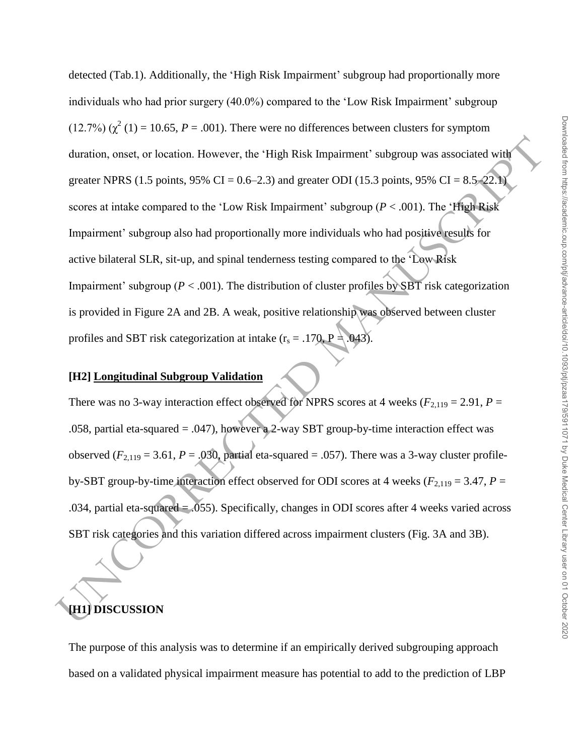duration, onset, or location. However, the "High Risk Impairment' subgroup was associated with<br>greater NPRS (1.5 points, 95% CT = 0.6–2.3) and greater ODI (15.3 points, 95% CT = 8.5–22.<br>seconds at intake compared to the " detected (Tab.1). Additionally, the 'High Risk Impairment' subgroup had proportionally more individuals who had prior surgery (40.0%) compared to the 'Low Risk Impairment' subgroup  $(12.7%) (\chi^2(1) = 10.65, P = .001)$ . There were no differences between clusters for symptom duration, onset, or location. However, the 'High Risk Impairment' subgroup was associated with greater NPRS (1.5 points, 95% CI =  $0.6-2.3$ ) and greater ODI (15.3 points, 95% CI =  $8.5-22.1$ ) scores at intake compared to the 'Low Risk Impairment' subgroup (*P* < .001). The 'High Risk Impairment' subgroup also had proportionally more individuals who had positive results for active bilateral SLR, sit-up, and spinal tenderness testing compared to the 'Low Risk Impairment' subgroup ( $P < .001$ ). The distribution of cluster profiles by SBT risk categorization is provided in Figure 2A and 2B. A weak, positive relationship was observed between cluster profiles and SBT risk categorization at intake  $(r_s = .170, P = .043)$ .

## **[H2] Longitudinal Subgroup Validation**

There was no 3-way interaction effect observed for NPRS scores at 4 weeks ( $F_{2,119} = 2.91$ ,  $P =$ .058, partial eta-squared = .047), however a 2-way SBT group-by-time interaction effect was observed  $(F_{2,119} = 3.61, P = .030$ , partial eta-squared = .057). There was a 3-way cluster profileby-SBT group-by-time interaction effect observed for ODI scores at 4 weeks ( $F_{2,119} = 3.47$ ,  $P =$ .034, partial eta-squared = .055). Specifically, changes in ODI scores after 4 weeks varied across SBT risk categories and this variation differed across impairment clusters (Fig. 3A and 3B).

# **[H1] DISCUSSION**

The purpose of this analysis was to determine if an empirically derived subgrouping approach based on a validated physical impairment measure has potential to add to the prediction of LBP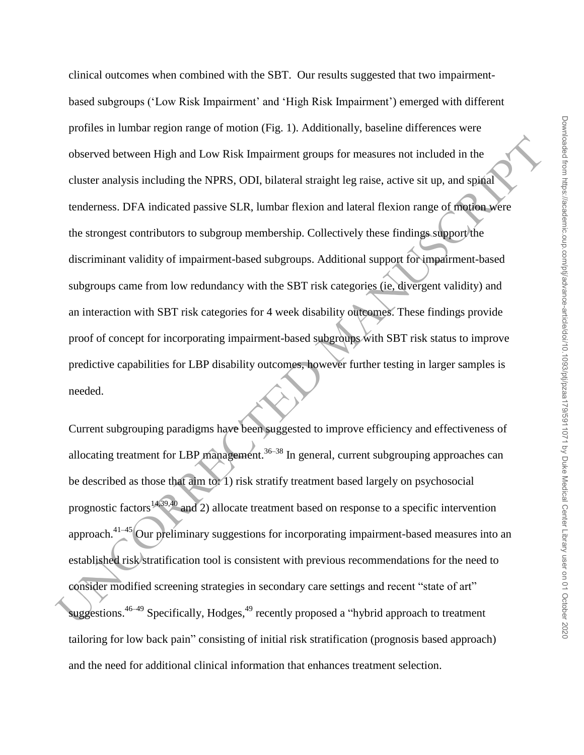observed between High and Law Risk Impairment groups for measures not included in the<br>cluster analysis including the NPRS, ODI, bilateral straight leg raise, active sit up, and spinal<br>readerness. DFA indicated passive SLR clinical outcomes when combined with the SBT. Our results suggested that two impairmentbased subgroups ('Low Risk Impairment' and 'High Risk Impairment') emerged with different profiles in lumbar region range of motion (Fig. 1). Additionally, baseline differences were observed between High and Low Risk Impairment groups for measures not included in the cluster analysis including the NPRS, ODI, bilateral straight leg raise, active sit up, and spinal tenderness. DFA indicated passive SLR, lumbar flexion and lateral flexion range of motion were the strongest contributors to subgroup membership. Collectively these findings support the discriminant validity of impairment-based subgroups. Additional support for impairment-based subgroups came from low redundancy with the SBT risk categories (ie, divergent validity) and an interaction with SBT risk categories for 4 week disability outcomes. These findings provide proof of concept for incorporating impairment-based subgroups with SBT risk status to improve predictive capabilities for LBP disability outcomes, however further testing in larger samples is needed.

Current subgrouping paradigms have been suggested to improve efficiency and effectiveness of allocating treatment for LBP management.<sup>36–38</sup> In general, current subgrouping approaches can be described as those that aim to: 1) risk stratify treatment based largely on psychosocial prognostic factors<sup>14,39,40</sup> and 2) allocate treatment based on response to a specific intervention approach. $41-45$  Our preliminary suggestions for incorporating impairment-based measures into an established risk stratification tool is consistent with previous recommendations for the need to consider modified screening strategies in secondary care settings and recent "state of art" suggestions.<sup>46–49</sup> Specifically, Hodges,<sup>49</sup> recently proposed a "hybrid approach to treatment tailoring for low back pain" consisting of initial risk stratification (prognosis based approach) and the need for additional clinical information that enhances treatment selection.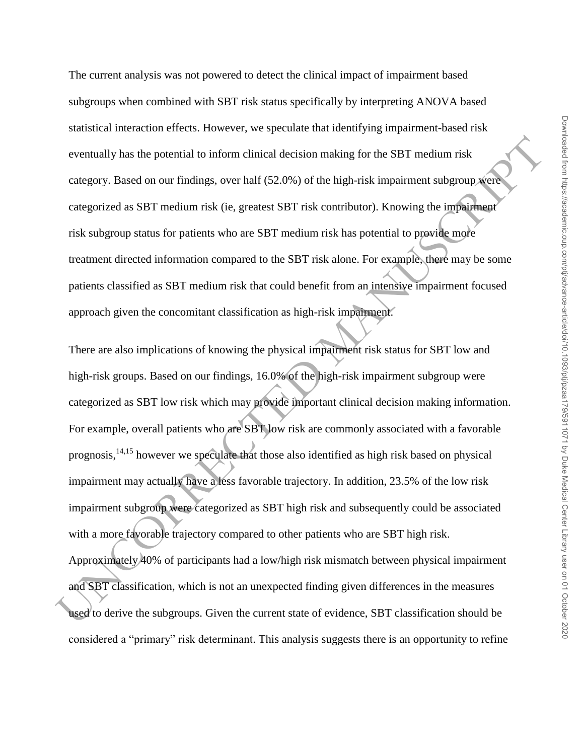The current analysis was not powered to detect the clinical impact of impairment based subgroups when combined with SBT risk status specifically by interpreting ANOVA based statistical interaction effects. However, we speculate that identifying impairment-based risk eventually has the potential to inform clinical decision making for the SBT medium risk category. Based on our findings, over half (52.0%) of the high-risk impairment subgroup were categorized as SBT medium risk (ie, greatest SBT risk contributor). Knowing the impairment risk subgroup status for patients who are SBT medium risk has potential to provide more treatment directed information compared to the SBT risk alone. For example, there may be some patients classified as SBT medium risk that could benefit from an intensive impairment focused approach given the concomitant classification as high-risk impairment.

eventually has the potential to inform chinical decision making for the SBT medium risk<br>category. Based on our findings, over half (52.0%) of the high-risk impairment subgroup were<br>categorized as SBT medium risk (ie, grea There are also implications of knowing the physical impairment risk status for SBT low and high-risk groups. Based on our findings, 16.0% of the high-risk impairment subgroup were categorized as SBT low risk which may provide important clinical decision making information. For example, overall patients who are SBT low risk are commonly associated with a favorable prognosis,14,15 however we speculate that those also identified as high risk based on physical impairment may actually have a less favorable trajectory. In addition, 23.5% of the low risk impairment subgroup were categorized as SBT high risk and subsequently could be associated with a more favorable trajectory compared to other patients who are SBT high risk. Approximately 40% of participants had a low/high risk mismatch between physical impairment and SBT classification, which is not an unexpected finding given differences in the measures used to derive the subgroups. Given the current state of evidence, SBT classification should be considered a "primary" risk determinant. This analysis suggests there is an opportunity to refine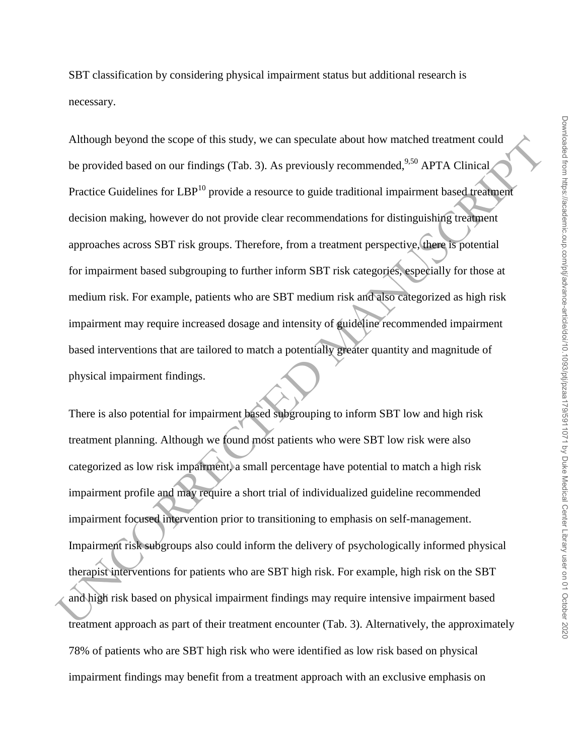SBT classification by considering physical impairment status but additional research is necessary.

Although beyond the scope of this study, we can speculate about how matched treatment could<br>be provided based on our findings (Tab. 3). As previously recommended<sup>526</sup> APTA Clinical<br>Practice Guidelines for LBP<sup>03</sup> provide Although beyond the scope of this study, we can speculate about how matched treatment could be provided based on our findings (Tab. 3). As previously recommended,  $9,50$  APTA Clinical Practice Guidelines for LBP<sup>10</sup> provide a resource to guide traditional impairment based treatment decision making, however do not provide clear recommendations for distinguishing treatment approaches across SBT risk groups. Therefore, from a treatment perspective, there is potential for impairment based subgrouping to further inform SBT risk categories, especially for those at medium risk. For example, patients who are SBT medium risk and also categorized as high risk impairment may require increased dosage and intensity of guideline recommended impairment based interventions that are tailored to match a potentially greater quantity and magnitude of physical impairment findings.

There is also potential for impairment based subgrouping to inform SBT low and high risk treatment planning. Although we found most patients who were SBT low risk were also categorized as low risk impairment, a small percentage have potential to match a high risk impairment profile and may require a short trial of individualized guideline recommended impairment focused intervention prior to transitioning to emphasis on self-management. Impairment risk subgroups also could inform the delivery of psychologically informed physical therapist interventions for patients who are SBT high risk. For example, high risk on the SBT and high risk based on physical impairment findings may require intensive impairment based treatment approach as part of their treatment encounter (Tab. 3). Alternatively, the approximately 78% of patients who are SBT high risk who were identified as low risk based on physical impairment findings may benefit from a treatment approach with an exclusive emphasis on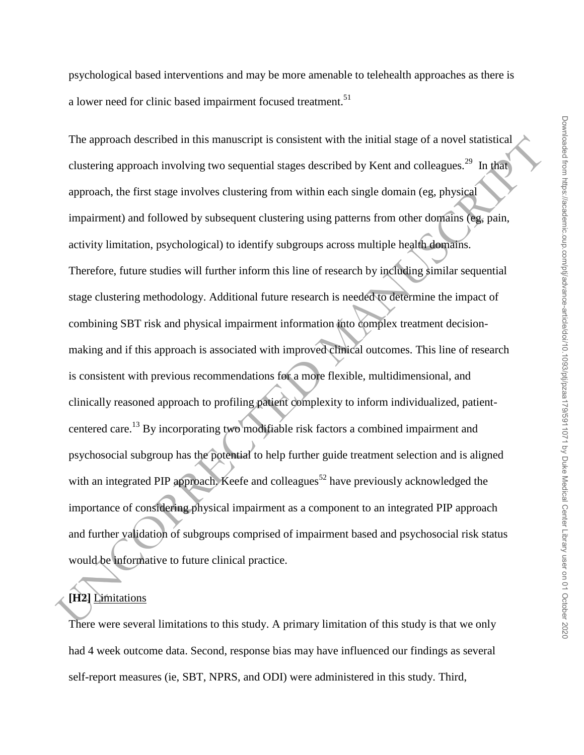psychological based interventions and may be more amenable to telehealth approaches as there is a lower need for clinic based impairment focused treatment.<sup>51</sup>

The approach described in this manuscript is consistent with the initial stage of a novel statistical<br>clustering approach involving two sequential stages described by Kent and colleagues.<sup>26</sup> In the<br>approach, the first st The approach described in this manuscript is consistent with the initial stage of a novel statistical clustering approach involving two sequential stages described by Kent and colleagues.<sup>29</sup> In that approach, the first stage involves clustering from within each single domain (eg, physical impairment) and followed by subsequent clustering using patterns from other domains (eg, pain, activity limitation, psychological) to identify subgroups across multiple health domains. Therefore, future studies will further inform this line of research by including similar sequential stage clustering methodology. Additional future research is needed to determine the impact of combining SBT risk and physical impairment information into complex treatment decisionmaking and if this approach is associated with improved clinical outcomes. This line of research is consistent with previous recommendations for a more flexible, multidimensional, and clinically reasoned approach to profiling patient complexity to inform individualized, patientcentered care.<sup>13</sup> By incorporating two modifiable risk factors a combined impairment and psychosocial subgroup has the potential to help further guide treatment selection and is aligned with an integrated PIP approach. Keefe and colleagues<sup>52</sup> have previously acknowledged the importance of considering physical impairment as a component to an integrated PIP approach and further validation of subgroups comprised of impairment based and psychosocial risk status would be informative to future clinical practice.

# **[H2]** Limitations

There were several limitations to this study. A primary limitation of this study is that we only had 4 week outcome data. Second, response bias may have influenced our findings as several self-report measures (ie, SBT, NPRS, and ODI) were administered in this study. Third,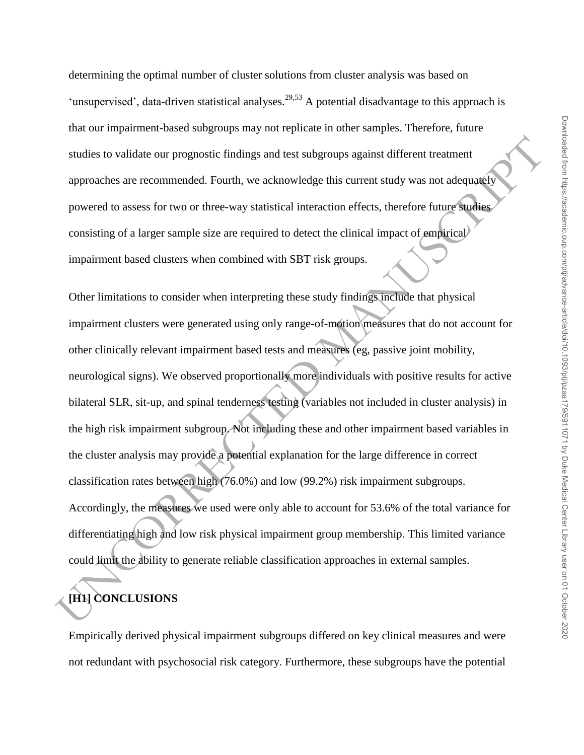determining the optimal number of cluster solutions from cluster analysis was based on 'unsupervised', data-driven statistical analyses.<sup>29,53</sup> A potential disadvantage to this approach is that our impairment-based subgroups may not replicate in other samples. Therefore, future studies to validate our prognostic findings and test subgroups against different treatment approaches are recommended. Fourth, we acknowledge this current study was not adequately powered to assess for two or three-way statistical interaction effects, therefore future studies consisting of a larger sample size are required to detect the clinical impact of empirical impairment based clusters when combined with SBT risk groups.

studies to validate our prognostic findings and test subgroups against different treatment<br>approaches are recommended. Fourth, we acknowledge this current study was not adequately<br>provaced to assess for two or three-way st Other limitations to consider when interpreting these study findings include that physical impairment clusters were generated using only range-of-motion measures that do not account for other clinically relevant impairment based tests and measures (eg, passive joint mobility, neurological signs). We observed proportionally more individuals with positive results for active bilateral SLR, sit-up, and spinal tenderness testing (variables not included in cluster analysis) in the high risk impairment subgroup. Not including these and other impairment based variables in the cluster analysis may provide a potential explanation for the large difference in correct classification rates between high (76.0%) and low (99.2%) risk impairment subgroups. Accordingly, the measures we used were only able to account for 53.6% of the total variance for differentiating high and low risk physical impairment group membership. This limited variance could limit the ability to generate reliable classification approaches in external samples.

# **[H1] CONCLUSIONS**

Empirically derived physical impairment subgroups differed on key clinical measures and were not redundant with psychosocial risk category. Furthermore, these subgroups have the potential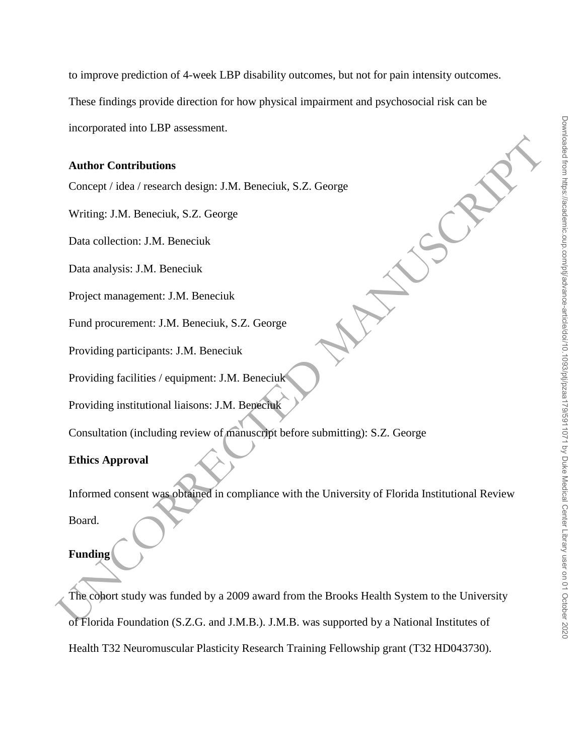to improve prediction of 4-week LBP disability outcomes, but not for pain intensity outcomes.

These findings provide direction for how physical impairment and psychosocial risk can be

incorporated into LBP assessment.

#### **Author Contributions**

Concept / idea / research design: J.M. Beneciuk, S.Z. George

Writing: J.M. Beneciuk, S.Z. George

Data collection: J.M. Beneciuk

Data analysis: J.M. Beneciuk

Project management: J.M. Beneciuk

Fund procurement: J.M. Beneciuk, S.Z. George

Providing participants: J.M. Beneciuk

Providing facilities / equipment: J.M. Beneciuk

Providing institutional liaisons: J.M. Beneciuk

Consultation (including review of manuscript before submitting): S.Z. George

## **Ethics Approval**

Informed consent was obtained in compliance with the University of Florida Institutional Review Board.

## **Funding**

Author Contributions<br>
Concept / idea / research design: J.M. Beneciuk, S.Z. George<br>
Writing: J.M. Beneciuk<br>
Data collection: J.M. Beneciuk<br>
Project management: J.M. Beneciuk<br>
Project management: J.M. Beneciuk<br>
Providing pa The cohort study was funded by a 2009 award from the Brooks Health System to the University of Florida Foundation (S.Z.G. and J.M.B.). J.M.B. was supported by a National Institutes of Health T32 Neuromuscular Plasticity Research Training Fellowship grant (T32 HD043730).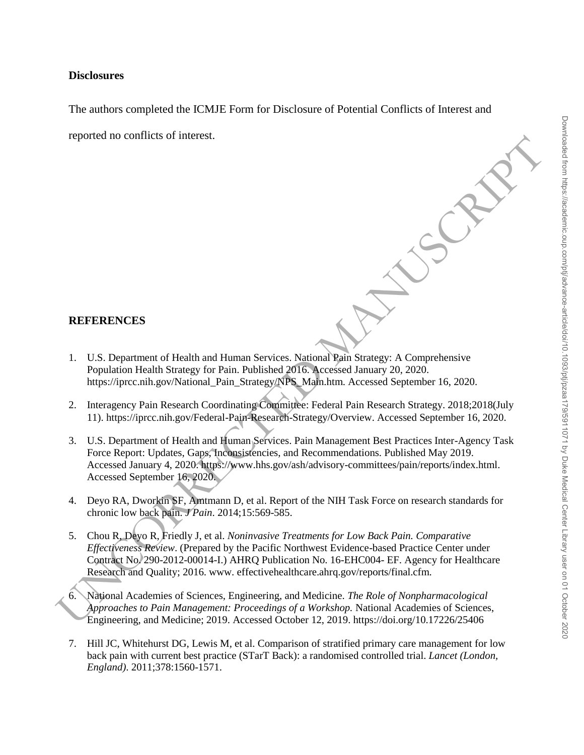# **Disclosures**

The authors completed the ICMJE Form for Disclosure of Potential Conflicts of Interest and

reported no conflicts of interest.

## **REFERENCES**

- 1. U.S. Department of Health and Human Services. National Pain Strategy: A Comprehensive Population Health Strategy for Pain. Published 2016. Accessed January 20, 2020. https://iprcc.nih.gov/National\_Pain\_Strategy/NPS\_Main.htm. Accessed September 16, 2020.
- 2. Interagency Pain Research Coordinating Committee: Federal Pain Research Strategy. 2018;2018(July 11). https://iprcc.nih.gov/Federal-Pain-Research-Strategy/Overview. Accessed September 16, 2020.
- REFERENCES<br>
1. U.S. Department of Health and Human Services. National Pain Strategy: A Comprehensive<br>
1. U.S. Department of Health and Human Services. National Pain Strategy: A Comprehensive<br>
1. U.S. Department of Health 3. U.S. Department of Health and Human Services. Pain Management Best Practices Inter-Agency Task Force Report: Updates, Gaps, Inconsistencies, and Recommendations. Published May 2019. Accessed January 4, 2020. https://www.hhs.gov/ash/advisory-committees/pain/reports/index.html. Accessed September 16, 2020.
	- 4. Deyo RA, Dworkin SF, Amtmann D, et al. Report of the NIH Task Force on research standards for chronic low back pain. *J Pain*. 2014;15:569-585.
	- 5. Chou R, Deyo R, Friedly J, et al. *Noninvasive Treatments for Low Back Pain. Comparative Effectiveness Review*. (Prepared by the Pacific Northwest Evidence-based Practice Center under Contract No. 290-2012-00014-I.) AHRQ Publication No. 16-EHC004- EF. Agency for Healthcare Research and Quality; 2016. www. effectivehealthcare.ahrq.gov/reports/final.cfm.
	- 6. National Academies of Sciences, Engineering, and Medicine. *The Role of Nonpharmacological Approaches to Pain Management: Proceedings of a Workshop.* National Academies of Sciences, Engineering, and Medicine; 2019. Accessed October 12, 2019. https://doi.org/10.17226/25406
	- 7. Hill JC, Whitehurst DG, Lewis M, et al. Comparison of stratified primary care management for low back pain with current best practice (STarT Back): a randomised controlled trial. *Lancet (London, England)*. 2011;378:1560-1571.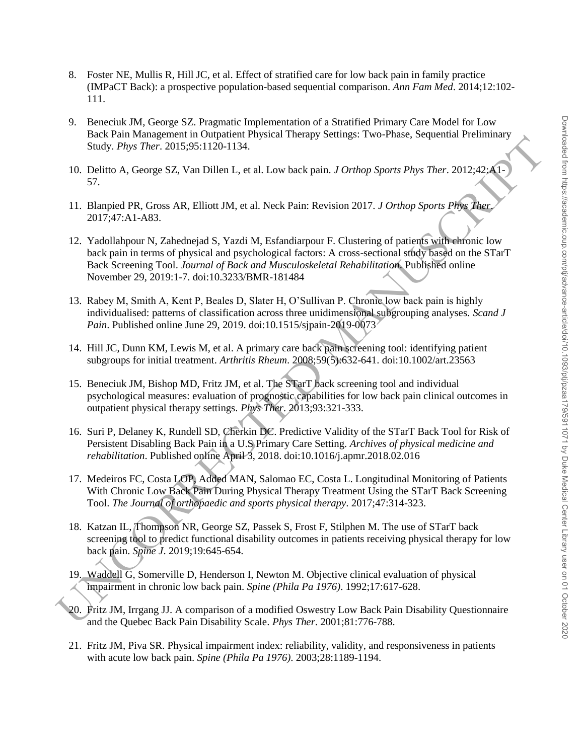- 8. Foster NE, Mullis R, Hill JC, et al. Effect of stratified care for low back pain in family practice (IMPaCT Back): a prospective population-based sequential comparison. *Ann Fam Med*. 2014;12:102- 111.
- 9. Beneciuk JM, George SZ. Pragmatic Implementation of a Stratified Primary Care Model for Low Back Pain Management in Outpatient Physical Therapy Settings: Two-Phase, Sequential Preliminary Study. *Phys Ther*. 2015;95:1120-1134.
- 10. Delitto A, George SZ, Van Dillen L, et al. Low back pain. *J Orthop Sports Phys Ther*. 2012;42:A1- 57.
- 11. Blanpied PR, Gross AR, Elliott JM, et al. Neck Pain: Revision 2017. *J Orthop Sports Phys Ther*. 2017;47:A1-A83.
- Board Fan Somation and Constant and Optical Research (Figure 2013). The South Particular Share State Research (Figure 2013-22). The South State Research Manuscript (Figure 2013-22). The Distribution of Research Manuscript 12. Yadollahpour N, Zahednejad S, Yazdi M, Esfandiarpour F. Clustering of patients with chronic low back pain in terms of physical and psychological factors: A cross-sectional study based on the STarT Back Screening Tool. *Journal of Back and Musculoskeletal Rehabilitation*. Published online November 29, 2019:1-7. doi:10.3233/BMR-181484
	- 13. Rabey M, Smith A, Kent P, Beales D, Slater H, O'Sullivan P. Chronic low back pain is highly individualised: patterns of classification across three unidimensional subgrouping analyses. *Scand J Pain*. Published online June 29, 2019. doi:10.1515/sjpain-2019-0073
	- 14. Hill JC, Dunn KM, Lewis M, et al. A primary care back pain screening tool: identifying patient subgroups for initial treatment. *Arthritis Rheum*. 2008;59(5):632-641. doi:10.1002/art.23563
	- 15. Beneciuk JM, Bishop MD, Fritz JM, et al. The STarT back screening tool and individual psychological measures: evaluation of prognostic capabilities for low back pain clinical outcomes in outpatient physical therapy settings. *Phys Ther*. 2013;93:321-333.
	- 16. Suri P, Delaney K, Rundell SD, Cherkin DC. Predictive Validity of the STarT Back Tool for Risk of Persistent Disabling Back Pain in a U.S Primary Care Setting. *Archives of physical medicine and rehabilitation*. Published online April 3, 2018. doi:10.1016/j.apmr.2018.02.016
	- 17. Medeiros FC, Costa LOP, Added MAN, Salomao EC, Costa L. Longitudinal Monitoring of Patients With Chronic Low Back Pain During Physical Therapy Treatment Using the STarT Back Screening Tool. *The Journal of orthopaedic and sports physical therapy*. 2017;47:314-323.
	- 18. Katzan IL, Thompson NR, George SZ, Passek S, Frost F, Stilphen M. The use of STarT back screening tool to predict functional disability outcomes in patients receiving physical therapy for low back pain. *Spine J*. 2019;19:645-654.
	- 19. Waddell G, Somerville D, Henderson I, Newton M. Objective clinical evaluation of physical impairment in chronic low back pain. *Spine (Phila Pa 1976)*. 1992;17:617-628.
	- 20. Fritz JM, Irrgang JJ. A comparison of a modified Oswestry Low Back Pain Disability Questionnaire and the Quebec Back Pain Disability Scale. *Phys Ther*. 2001;81:776-788.
	- 21. Fritz JM, Piva SR. Physical impairment index: reliability, validity, and responsiveness in patients with acute low back pain. *Spine (Phila Pa 1976)*. 2003;28:1189-1194.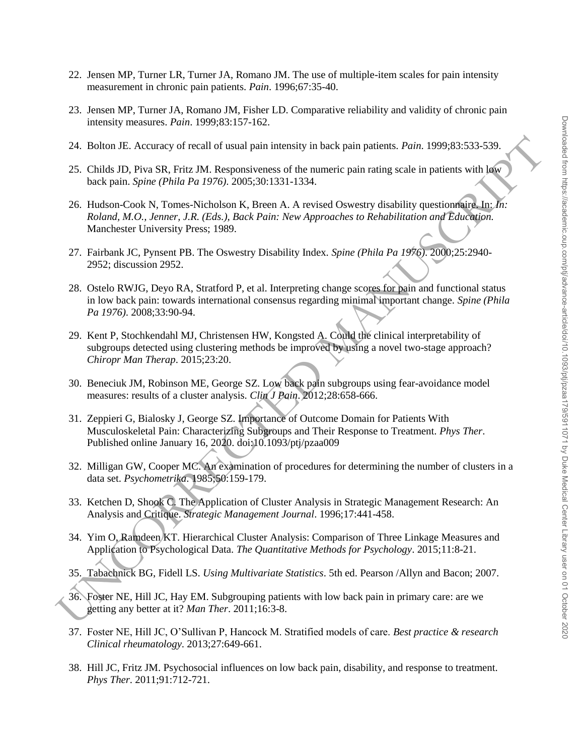- 22. Jensen MP, Turner LR, Turner JA, Romano JM. The use of multiple-item scales for pain intensity measurement in chronic pain patients. *Pain*. 1996;67:35-40.
- 23. Jensen MP, Turner JA, Romano JM, Fisher LD. Comparative reliability and validity of chronic pain intensity measures. *Pain*. 1999;83:157-162.
- 24. Bolton JE. Accuracy of recall of usual pain intensity in back pain patients. *Pain*. 1999;83:533-539.
- 25. Childs JD, Piva SR, Fritz JM. Responsiveness of the numeric pain rating scale in patients with low back pain. *Spine (Phila Pa 1976)*. 2005;30:1331-1334.
- 26. Hudson-Cook N, Tomes-Nicholson K, Breen A. A revised Oswestry disability questionnaire. In: *In: Roland, M.O., Jenner, J.R. (Eds.), Back Pain: New Approaches to Rehabilitation and Education.* Manchester University Press; 1989.
- 27. Fairbank JC, Pynsent PB. The Oswestry Disability Index. *Spine (Phila Pa 1976)*. 2000;25:2940- 2952; discussion 2952.
- 24. Bolton JE. Accuracy of recall of usual pain intensity in back pain patients. Pair. 1999;83:533-539.<br>
25. Childs JD, Pivo BR, Filir JM. Responsiveses of the numeric pain rating scale in patients with log-<br>
26. Hudson-C 28. Ostelo RWJG, Deyo RA, Stratford P, et al. Interpreting change scores for pain and functional status in low back pain: towards international consensus regarding minimal important change. *Spine (Phila Pa 1976)*. 2008;33:90-94.
	- 29. Kent P, Stochkendahl MJ, Christensen HW, Kongsted A. Could the clinical interpretability of subgroups detected using clustering methods be improved by using a novel two-stage approach? *Chiropr Man Therap*. 2015;23:20.
	- 30. Beneciuk JM, Robinson ME, George SZ. Low back pain subgroups using fear-avoidance model measures: results of a cluster analysis. *Clin J Pain*. 2012;28:658-666.
	- 31. Zeppieri G, Bialosky J, George SZ. Importance of Outcome Domain for Patients With Musculoskeletal Pain: Characterizing Subgroups and Their Response to Treatment. *Phys Ther*. Published online January 16, 2020. doi:10.1093/ptj/pzaa009
	- 32. Milligan GW, Cooper MC. An examination of procedures for determining the number of clusters in a data set. *Psychometrika*. 1985;50:159-179.
	- 33. Ketchen D, Shook C. The Application of Cluster Analysis in Strategic Management Research: An Analysis and Critique. *Strategic Management Journal*. 1996;17:441-458.
	- 34. Yim O, Ramdeen KT. Hierarchical Cluster Analysis: Comparison of Three Linkage Measures and Application to Psychological Data. *The Quantitative Methods for Psychology*. 2015;11:8-21.
	- 35. Tabachnick BG, Fidell LS. *Using Multivariate Statistics*. 5th ed. Pearson /Allyn and Bacon; 2007.
	- 36. Foster NE, Hill JC, Hay EM. Subgrouping patients with low back pain in primary care: are we getting any better at it? *Man Ther*. 2011;16:3-8.
	- 37. Foster NE, Hill JC, O'Sullivan P, Hancock M. Stratified models of care. *Best practice & research Clinical rheumatology*. 2013;27:649-661.
	- 38. Hill JC, Fritz JM. Psychosocial influences on low back pain, disability, and response to treatment. *Phys Ther*. 2011;91:712-721.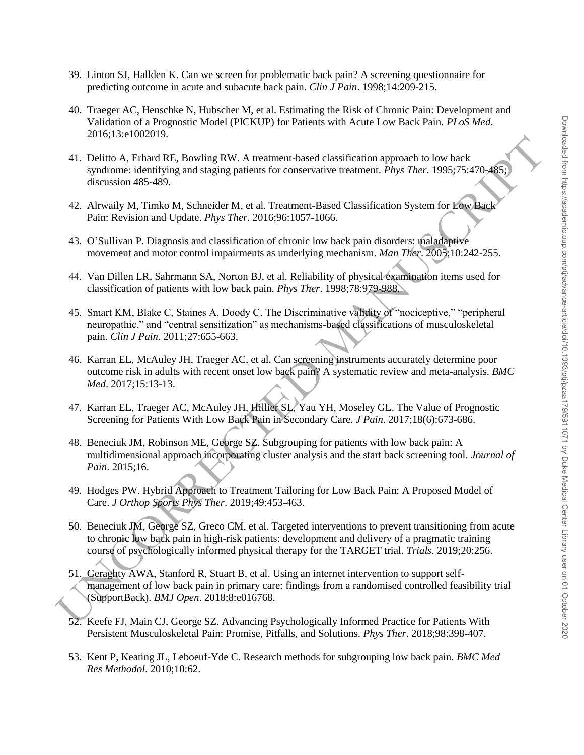- 39. Linton SJ, Hallden K. Can we screen for problematic back pain? A screening questionnaire for predicting outcome in acute and subacute back pain. *Clin J Pain*. 1998;14:209-215.
- 40. Traeger AC, Henschke N, Hubscher M, et al. Estimating the Risk of Chronic Pain: Development and Validation of a Prognostic Model (PICKUP) for Patients with Acute Low Back Pain. *PLoS Med*. 2016;13:e1002019.
- 41. Delitto A, Erhard RE, Bowling RW. A treatment-based classification approach to low back syndrome: identifying and staging patients for conservative treatment. *Phys Ther*. 1995;75:470-485; discussion 485-489.
- 42. Alrwaily M, Timko M, Schneider M, et al. Treatment-Based Classification System for Low Back Pain: Revision and Update. *Phys Ther*. 2016;96:1057-1066.
- 43. O'Sullivan P. Diagnosis and classification of chronic low back pain disorders: maladaptive movement and motor control impairments as underlying mechanism. *Man Ther*. 2005;10:242-255.
- 44. Van Dillen LR, Sahrmann SA, Norton BJ, et al. Reliability of physical examination items used for classification of patients with low back pain. *Phys Ther*. 1998;78:979-988.
- 45. Smart KM, Blake C, Staines A, Doody C. The Discriminative validity of "nociceptive," "peripheral neuropathic," and "central sensitization" as mechanisms-based classifications of musculoskeletal pain. *Clin J Pain*. 2011;27:655-663.
- 46. Karran EL, McAuley JH, Traeger AC, et al. Can screening instruments accurately determine poor outcome risk in adults with recent onset low back pain? A systematic review and meta-analysis. *BMC Med*. 2017;15:13-13.
- 47. Karran EL, Traeger AC, McAuley JH, Hillier SL, Yau YH, Moseley GL. The Value of Prognostic Screening for Patients With Low Back Pain in Secondary Care. *J Pain*. 2017;18(6):673-686.
- 48. Beneciuk JM, Robinson ME, George SZ. Subgrouping for patients with low back pain: A multidimensional approach incorporating cluster analysis and the start back screening tool. *Journal of Pain*. 2015;16.
- 49. Hodges PW. Hybrid Approach to Treatment Tailoring for Low Back Pain: A Proposed Model of Care. *J Orthop Sports Phys Ther*. 2019;49:453-463.
- 50. Beneciuk JM, George SZ, Greco CM, et al. Targeted interventions to prevent transitioning from acute to chronic low back pain in high-risk patients: development and delivery of a pragmatic training course of psychologically informed physical therapy for the TARGET trial. *Trials*. 2019;20:256.
- 2001.15 concerned the state of the state of the state of the state of the state of the state of the state of the state of the state of the state of the state of the state of the state of the state of the state of the stat 51. Geraghty AWA, Stanford R, Stuart B, et al. Using an internet intervention to support selfmanagement of low back pain in primary care: findings from a randomised controlled feasibility trial (SupportBack). *BMJ Open*. 2018;8:e016768.
	- 52. Keefe FJ, Main CJ, George SZ. Advancing Psychologically Informed Practice for Patients With Persistent Musculoskeletal Pain: Promise, Pitfalls, and Solutions. *Phys Ther*. 2018;98:398-407.
	- 53. Kent P, Keating JL, Leboeuf-Yde C. Research methods for subgrouping low back pain. *BMC Med Res Methodol*. 2010;10:62.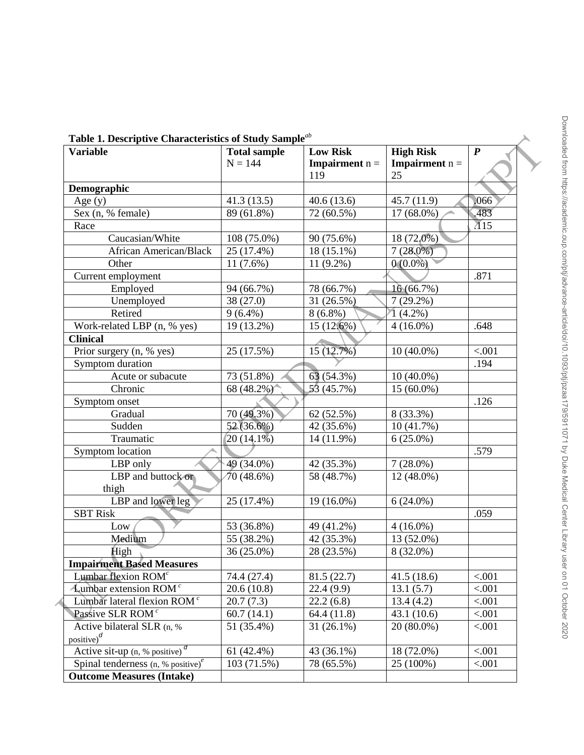| <b>Variable</b>                                | <b>Total sample</b><br>$N = 144$ | <b>Low Risk</b><br><b>Impairment</b> $n =$<br>119 | <b>High Risk</b><br><b>Impairment</b> $n =$<br>25 | $\boldsymbol{P}$ |
|------------------------------------------------|----------------------------------|---------------------------------------------------|---------------------------------------------------|------------------|
| Demographic                                    |                                  |                                                   |                                                   |                  |
| Age $(y)$                                      | 41.3(13.5)                       | 40.6(13.6)                                        | 45.7(11.9)                                        | ,066             |
| Sex (n, % female)                              | 89 (61.8%)                       | 72 (60.5%)                                        | 17 (68.0%)                                        | .483             |
| Race                                           |                                  |                                                   |                                                   | $\overline{A}15$ |
| Caucasian/White                                | 108 (75.0%)                      | 90 (75.6%)                                        | 18 (72,0%)                                        |                  |
| <b>African American/Black</b>                  | 25 (17.4%)                       | 18 (15.1%)                                        | $7(28.0\%)$                                       |                  |
| Other                                          | $11(7.6\%)$                      | $11(9.2\%)$                                       | $0(0.0\%)$                                        |                  |
| Current employment                             |                                  |                                                   |                                                   | .871             |
| Employed                                       | 94 (66.7%)                       | 78 (66.7%)                                        | 16 (66.7%)                                        |                  |
| Unemployed                                     | 38 (27.0)                        | 31 (26.5%)                                        | $7(29.2\%)$                                       |                  |
| Retired                                        | $9(6.4\%)$                       | $8(6.8\%)$                                        | $1(4.2\%)$                                        |                  |
| Work-related LBP (n, % yes)                    | 19 (13.2%)                       | 15 (12.6%)                                        | $4(16.0\%)$                                       | .648             |
| <b>Clinical</b>                                |                                  |                                                   |                                                   |                  |
| Prior surgery (n, % yes)                       | 25 (17.5%)                       | 15(12.7%)                                         | $10(40.0\%)$                                      | < .001           |
| Symptom duration                               |                                  |                                                   |                                                   | .194             |
| Acute or subacute                              | 73 (51.8%)                       | 63 (54.3%)                                        | $10(40.0\%)$                                      |                  |
| Chronic                                        | 68 (48.2%)                       | 53 (45.7%)                                        | 15 (60.0%)                                        |                  |
| Symptom onset                                  |                                  |                                                   |                                                   | .126             |
| Gradual                                        | 70 (49.3%)                       | 62 (52.5%)                                        | 8 (33.3%)                                         |                  |
| Sudden                                         | 52 (36.6%)                       | 42 (35.6%)                                        | 10 (41.7%)                                        |                  |
| Traumatic                                      | $20(14.1\%)$                     | 14 (11.9%)                                        | $6(25.0\%)$                                       |                  |
| Symptom location                               |                                  |                                                   |                                                   | .579             |
| LBP only                                       | 49 (34.0%)                       | 42 (35.3%)                                        | $7(28.0\%)$                                       |                  |
| LBP and buttock or                             | 70(48.6%)                        | 58 (48.7%)                                        | 12 (48.0%)                                        |                  |
| thigh                                          |                                  |                                                   |                                                   |                  |
| LBP and lower leg                              | 25 (17.4%)                       | 19 (16.0%)                                        | $6(24.0\%)$                                       |                  |
| <b>SBT Risk</b>                                |                                  |                                                   |                                                   | .059             |
| Low                                            | 53 (36.8%)                       | 49 (41.2%)                                        | $4(16.0\%)$                                       |                  |
| Medium                                         | 55 (38.2%)                       | 42 (35.3%)                                        | 13 (52.0%)                                        |                  |
| High                                           | 36 (25.0%)                       | 28 (23.5%)                                        | 8 (32.0%)                                         |                  |
| <b>Impairment Based Measures</b>               |                                  |                                                   |                                                   |                  |
| Lumbar flexion ROM <sup>c</sup>                | 74.4 (27.4)                      | 81.5(22.7)                                        | 41.5(18.6)                                        | < .001           |
| <b>Lumbar</b> extension ROM $^c$               | 20.6(10.8)                       | 22.4(9.9)                                         | 13.1(5.7)                                         | < .001           |
| Lumbar lateral flexion ROM <sup>c</sup>        | 20.7(7.3)                        | 22.2(6.8)                                         | 13.4(4.2)                                         | < .001           |
| Passive SLR ROM <sup>c</sup>                   | 60.7(14.1)                       | 64.4 (11.8)                                       | 43.1(10.6)                                        | < .001           |
| Active bilateral SLR (n, %<br>positive) $^{d}$ | 51 (35.4%)                       | $31(26.1\%)$                                      | 20 (80.0%)                                        | < .001           |
| Active sit-up $(n, %$ positive) $\frac{d}{dx}$ | 61 $(42.4\%)$                    | 43 (36.1%)                                        | 18 (72.0%)                                        | < .001           |
| Spinal tenderness $(n, % positive)^e$          | 103(71.5%)                       | 78 (65.5%)                                        | 25 (100%)                                         | < .001           |
| <b>Outcome Measures (Intake)</b>               |                                  |                                                   |                                                   |                  |

**Table 1. Descriptive Characteristics of Study Sample***ab*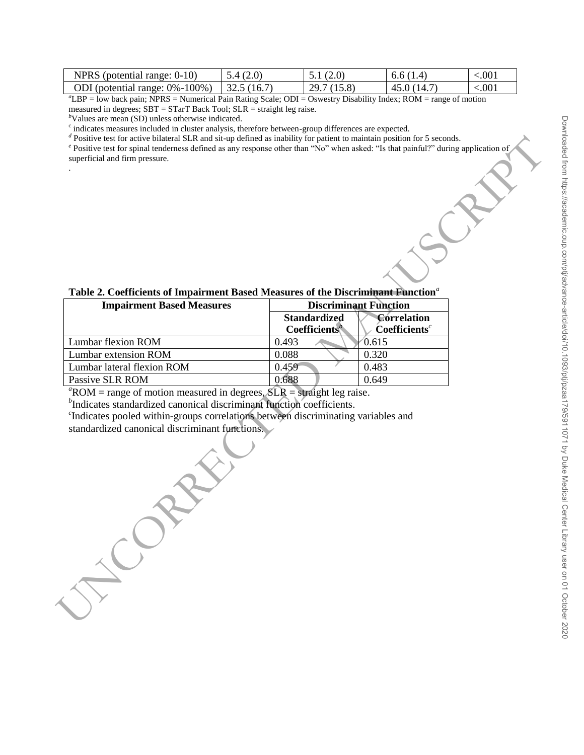| NPRS (potential range: $0-10$ )                     | 1,5.4(2.0) | 5.1(2.0)   | 6.6(1.4)    | ${<}001$ |
|-----------------------------------------------------|------------|------------|-------------|----------|
| ODI (potential range: $0\% - 100\%$ )   32.5 (16.7) |            | 29.7(15.8) | 45.0 (14.7) | < 001    |

*<sup>a</sup>*LBP = low back pain; NPRS = Numerical Pain Rating Scale; ODI = Oswestry Disability Index; ROM = range of motion measured in degrees; SBT = STarT Back Tool; SLR = straight leg raise.

*<sup>b</sup>*Values are mean (SD) unless otherwise indicated.

.

<sup>c</sup> indicates measures included in cluster analysis, therefore between-group differences are expected.

*d* Positive test for active bilateral SLR and sit-up defined as inability for patient to maintain position for 5 seconds.

<sup>e</sup> Positive test for spinal tenderness defined as any response other than "No" when asked: "Is that painful?" during application of superficial and firm pressure.

| Table 2. Coefficients of Impairment Based Measures of the Discriminant Function <sup>a</sup> |
|----------------------------------------------------------------------------------------------|
|----------------------------------------------------------------------------------------------|

| <b>Impairment Based Measures</b> |                                            | <b>Discriminant Function</b>                    |
|----------------------------------|--------------------------------------------|-------------------------------------------------|
|                                  | <b>Standardized</b><br><b>Coefficients</b> | <b>Correlation</b><br>Coefficients <sup>c</sup> |
| Lumbar flexion ROM               | 0.493                                      | 0.615                                           |
| Lumbar extension ROM             | 0.088                                      | 0.320                                           |
| Lumbar lateral flexion ROM       | 0.459                                      | 0.483                                           |
| Passive SLR ROM                  | 0.688                                      | 0.649                                           |

 ${}^a$ ROM = range of motion measured in degrees,  $SLR$  = straight leg raise.

*b*Indicates standardized canonical discriminant function coefficients.

*c* Indicates pooled within-groups correlations between discriminating variables and standardized canonical discriminant functions.

Theories test for equivalent and the distribution and the distribution is a station of the Distribution of the Distribution of the Distribution of the Station of the Manuscript of the Distribution of the Manuscript of the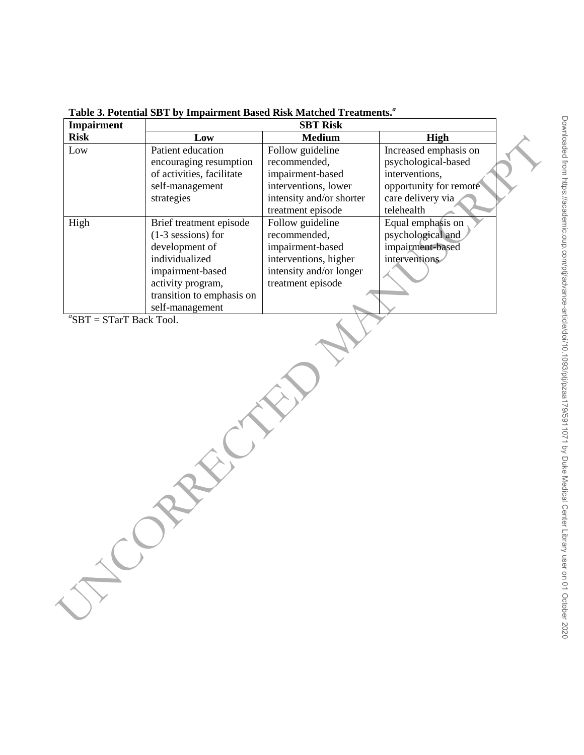| <b>Risk</b> | <b>SBT Risk</b>           |                          |                        |
|-------------|---------------------------|--------------------------|------------------------|
|             | Low                       | <b>Medium</b>            | High                   |
| Low         | Patient education         | Follow guideline         | Increased emphasis on  |
|             | encouraging resumption    | recommended,             | psychological-based    |
|             | of activities, facilitate | impairment-based         | interventions,         |
|             | self-management           | interventions, lower     | opportunity for remote |
|             | strategies                | intensity and/or shorter | care delivery via      |
|             |                           | treatment episode        | telehealth             |
| High        | Brief treatment episode   | Follow guideline         | Equal emphasis on      |
|             | $(1-3$ sessions) for      | recommended,             | psychological and      |
|             | development of            | impairment-based         | impairment-based       |
|             | individualized            | interventions, higher    | interventions          |
|             | impairment-based          | intensity and/or longer  |                        |
|             | activity program,         | treatment episode        |                        |
|             | transition to emphasis on |                          |                        |
|             | self-management           |                          |                        |
|             |                           |                          |                        |

**Table 3. Potential SBT by Impairment Based Risk Matched Treatments.***<sup>a</sup>*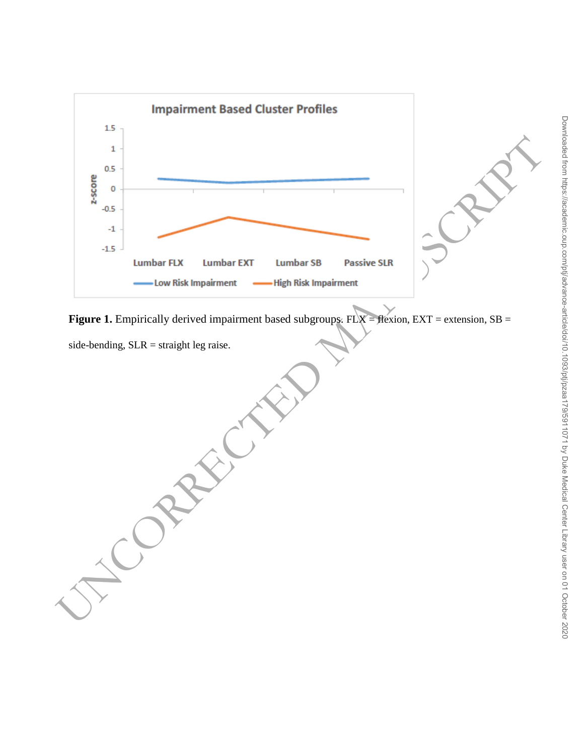

**Figure 1.** Empirically derived impairment based subgroups. FLX = flexion, EXT = extension, SB =

side-bending,  $SLR =$  straight leg raise.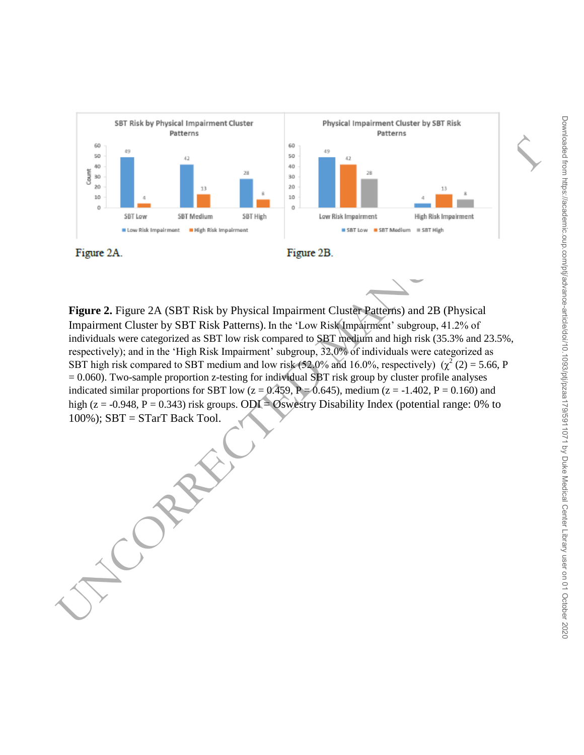

**Figure 2.** Figure 2A (SBT Risk by Physical Impairment Cluster Patterns) and 2B (Physical Impairment Cluster by SBT Risk Patterns). In the 'Low Risk Impairment' subgroup, 41.2% of individuals were categorized as SBT low risk compared to SBT medium and high risk (35.3% and 23.5%, respectively); and in the 'High Risk Impairment' subgroup, 32.0% of individuals were categorized as SBT high risk compared to SBT medium and low risk (52.0% and 16.0%, respectively)  $(\chi^2(2) = 5.66, P)$  $= 0.060$ ). Two-sample proportion z-testing for individual SBT risk group by cluster profile analyses indicated similar proportions for SBT low ( $z = 0.459$ ,  $P = 0.645$ ), medium ( $z = -1.402$ ,  $P = 0.160$ ) and high (z = -0.948, P = 0.343) risk groups. ODI = Oswestry Disability Index (potential range: 0% to 100%); SBT = STarT Back Tool.